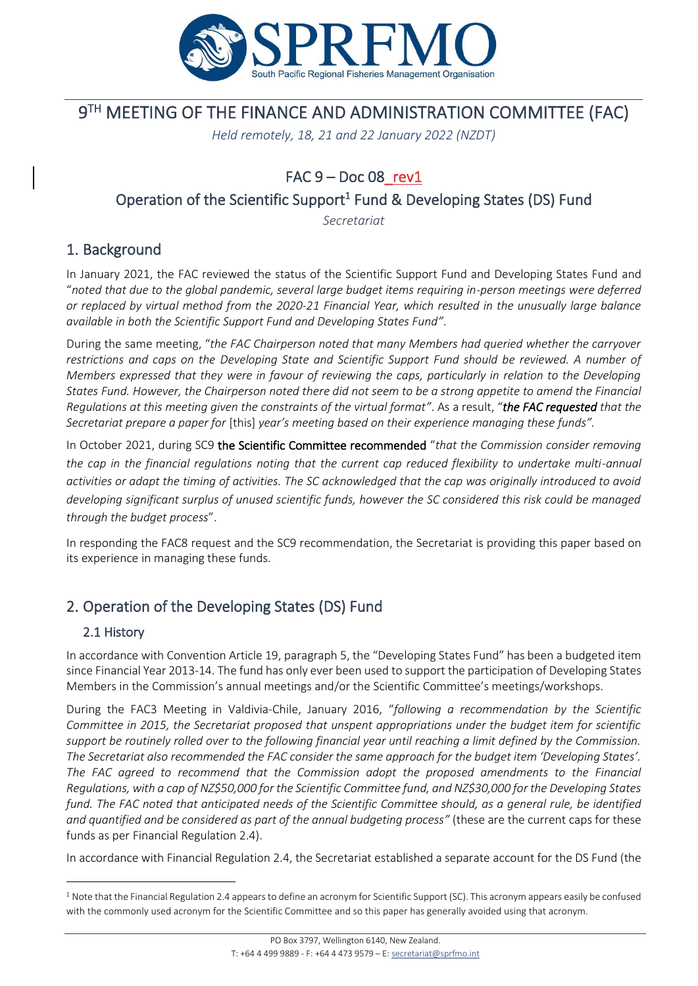

# 9 TH MEETING OF THE FINANCE AND ADMINISTRATION COMMITTEE (FAC)

*Held remotely, 18, 21 and 22 January 2022 (NZDT)*

# FAC  $9 - Doc 08$ rev1

## Operation of the Scientific Support<sup>1</sup> Fund & Developing States (DS) Fund

*Secretariat*

## 1. Background

In January 2021, the FAC reviewed the status of the Scientific Support Fund and Developing States Fund and "*noted that due to the global pandemic, several large budget items requiring in-person meetings were deferred or replaced by virtual method from the 2020-21 Financial Year, which resulted in the unusually large balance available in both the Scientific Support Fund and Developing States Fund"*.

During the same meeting, "*the FAC Chairperson noted that many Members had queried whether the carryover restrictions and caps on the Developing State and Scientific Support Fund should be reviewed. A number of Members expressed that they were in favour of reviewing the caps, particularly in relation to the Developing States Fund. However, the Chairperson noted there did not seem to be a strong appetite to amend the Financial Regulations at this meeting given the constraints of the virtual format"*. As a result, "*the FAC requested that the Secretariat prepare a paper for* [this] *year's meeting based on their experience managing these funds".*

In October 2021, during SC9 the Scientific Committee recommended "*that the Commission consider removing the cap in the financial regulations noting that the current cap reduced flexibility to undertake multi-annual activities or adapt the timing of activities. The SC acknowledged that the cap was originally introduced to avoid developing significant surplus of unused scientific funds, however the SC considered this risk could be managed through the budget process*".

In responding the FAC8 request and the SC9 recommendation, the Secretariat is providing this paper based on its experience in managing these funds.

# 2. Operation of the Developing States (DS) Fund

## 2.1 History

In accordance with Convention Article 19, paragraph 5, the "Developing States Fund" has been a budgeted item since Financial Year 2013-14. The fund has only ever been used to support the participation of Developing States Members in the Commission's annual meetings and/or the Scientific Committee's meetings/workshops.

During the FAC3 Meeting in Valdivia-Chile, January 2016, "*following a recommendation by the Scientific Committee in 2015, the Secretariat proposed that unspent appropriations under the budget item for scientific support be routinely rolled over to the following financial year until reaching a limit defined by the Commission. The Secretariat also recommended the FAC consider the same approach for the budget item 'Developing States'.*  The FAC agreed to recommend that the Commission adopt the proposed amendments to the Financial *Regulations, with a cap of NZ\$50,000 for the Scientific Committee fund, and NZ\$30,000 for the Developing States fund. The FAC noted that anticipated needs of the Scientific Committee should, as a general rule, be identified and quantified and be considered as part of the annual budgeting process"* (these are the current caps for these funds as per Financial Regulation 2.4).

In accordance with Financial Regulation 2.4, the Secretariat established a separate account for the DS Fund (the

<sup>&</sup>lt;sup>1</sup> Note that the Financial Regulation 2.4 appears to define an acronym for Scientific Support (SC). This acronym appears easily be confused with the commonly used acronym for the Scientific Committee and so this paper has generally avoided using that acronym.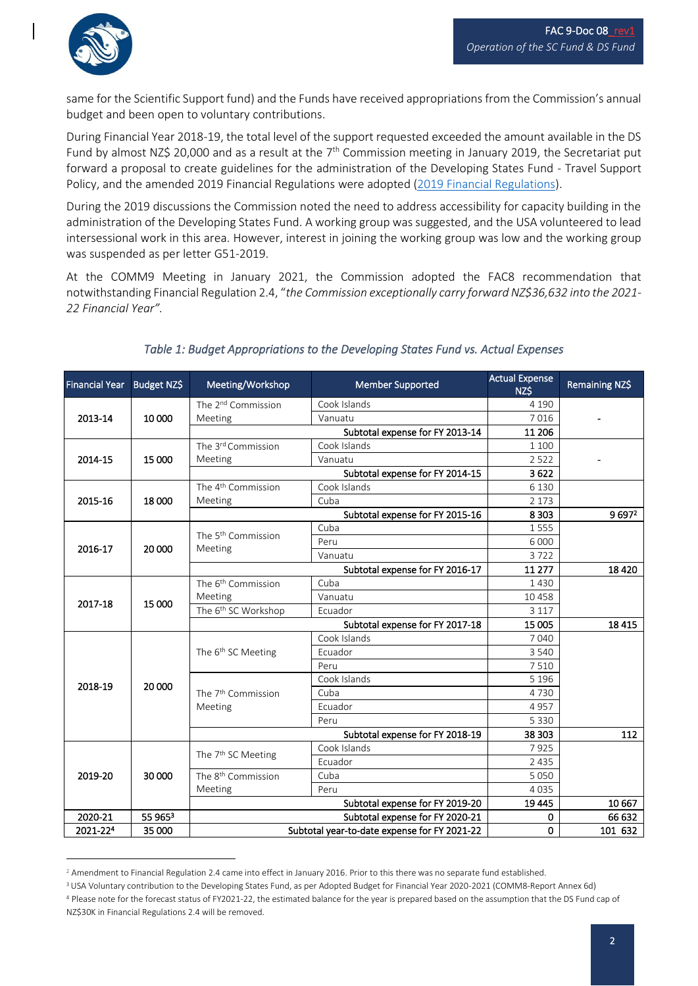

same for the Scientific Support fund) and the Funds have received appropriations from the Commission's annual budget and been open to voluntary contributions.

During Financial Year 2018-19, the total level of the support requested exceeded the amount available in the DS Fund by almost NZ\$ 20,000 and as a result at the 7<sup>th</sup> Commission meeting in January 2019, the Secretariat put forward a proposal to create guidelines for the administration of the Developing States Fund - Travel Support Policy, and the amended [2019 Financial Regulations](https://www.sprfmo.int/assets/Basic-Documents/Financial-Regulations-2019-5Mar2019.pdf) were adopted [\(2019 Financial Regulations\)](https://www.sprfmo.int/assets/Basic-Documents/Financial-Regulations-2019-5Mar2019.pdf).

During the 2019 discussions the Commission noted the need to address accessibility for capacity building in the administration of the Developing States Fund. A working group was suggested, and the USA volunteered to lead intersessional work in this area. However, interest in joining the working group was low and the working group was suspended as per letter G51-2019.

At the COMM9 Meeting in January 2021, the Commission adopted the FAC8 recommendation that notwithstanding Financial Regulation 2.4, "*the Commission exceptionally carry forward NZ\$36,632 into the 2021- 22 Financial Year".*

| <b>Financial Year</b> | Budget NZ\$ | Meeting/Workshop                             | <b>Member Supported</b>         | <b>Actual Expense</b><br>NZ\$ | Remaining NZ\$ |  |
|-----------------------|-------------|----------------------------------------------|---------------------------------|-------------------------------|----------------|--|
| 2013-14               | 10 000      | The 2 <sup>nd</sup> Commission               | Cook Islands                    | 4 1 9 0                       |                |  |
|                       |             | Meeting                                      | Vanuatu                         | 7016                          |                |  |
|                       |             |                                              | Subtotal expense for FY 2013-14 | 11 206                        |                |  |
| 2014-15               | 15 000      | The 3rd Commission                           | Cook Islands                    | 1 1 0 0                       |                |  |
|                       |             | Meeting                                      | Vanuatu                         | 2522                          |                |  |
|                       |             |                                              | Subtotal expense for FY 2014-15 | 3622                          |                |  |
|                       |             | The 4 <sup>th</sup> Commission               | Cook Islands                    | 6 1 3 0                       |                |  |
| 2015-16               | 18 000      | Meeting                                      | Cuba                            | 2 1 7 3                       |                |  |
|                       |             |                                              | Subtotal expense for FY 2015-16 | 8 3 0 3                       | 9 6 9 7 2      |  |
|                       |             | The 5 <sup>th</sup> Commission<br>Meeting    | Cuba                            | 1555                          |                |  |
| 2016-17               | 20 000      |                                              | Peru                            | 6 0 0 0                       |                |  |
|                       |             |                                              | Vanuatu                         | 3722                          |                |  |
|                       |             |                                              | Subtotal expense for FY 2016-17 | 11 277                        | 18 4 20        |  |
|                       | 15 000      | The 6 <sup>th</sup> Commission               | Cuba                            | 1430                          |                |  |
| 2017-18               |             | Meeting                                      | Vanuatu                         | 10 45 8                       |                |  |
|                       |             | The 6 <sup>th</sup> SC Workshop              | Ecuador                         | 3 1 1 7                       |                |  |
|                       |             |                                              | Subtotal expense for FY 2017-18 | 15 005                        | 18415          |  |
|                       | 20 000      | The 6 <sup>th</sup> SC Meeting               | Cook Islands                    | 7040                          |                |  |
|                       |             |                                              | Ecuador                         | 3 5 4 0                       |                |  |
|                       |             |                                              | Peru                            | 7510                          |                |  |
| 2018-19               |             | The 7 <sup>th</sup> Commission<br>Meeting    | Cook Islands                    | 5 1 9 6                       |                |  |
|                       |             |                                              | Cuba                            | 4730                          |                |  |
|                       |             |                                              | Ecuador                         | 4957                          |                |  |
|                       |             |                                              | Peru                            | 5 3 3 0                       |                |  |
|                       |             |                                              | Subtotal expense for FY 2018-19 | 38 303                        | 112            |  |
|                       | 30 000      | The 7 <sup>th</sup> SC Meeting               | Cook Islands                    | 7925                          |                |  |
| 2019-20               |             |                                              | Ecuador                         | 2 4 3 5                       |                |  |
|                       |             | The 8 <sup>th</sup> Commission               | Cuba                            | 5 0 5 0                       |                |  |
|                       |             | Meeting                                      | Peru                            | 4035                          |                |  |
|                       |             |                                              | Subtotal expense for FY 2019-20 | 19 4 45                       | 10667          |  |
| 2020-21               | 55 9653     |                                              | Subtotal expense for FY 2020-21 | 0                             | 66 632         |  |
| 2021-224              | 35 000      | Subtotal year-to-date expense for FY 2021-22 |                                 | 0                             | 101 632        |  |

#### *Table 1: Budget Appropriations to the Developing States Fund vs. Actual Expenses*

<sup>&</sup>lt;sup>2</sup> Amendment to Financial Regulation 2.4 came into effect in January 2016. Prior to this there was no separate fund established.

<sup>&</sup>lt;sup>3</sup> USA Voluntary contribution to the Developing States Fund, as per Adopted Budget for Financial Year 2020-2021 (COMM8-Report Annex 6d)

<sup>4</sup> Please note for the forecast status of FY2021-22, the estimated balance for the year is prepared based on the assumption that the DS Fund cap of NZ\$30K in Financial Regulations 2.4 will be removed.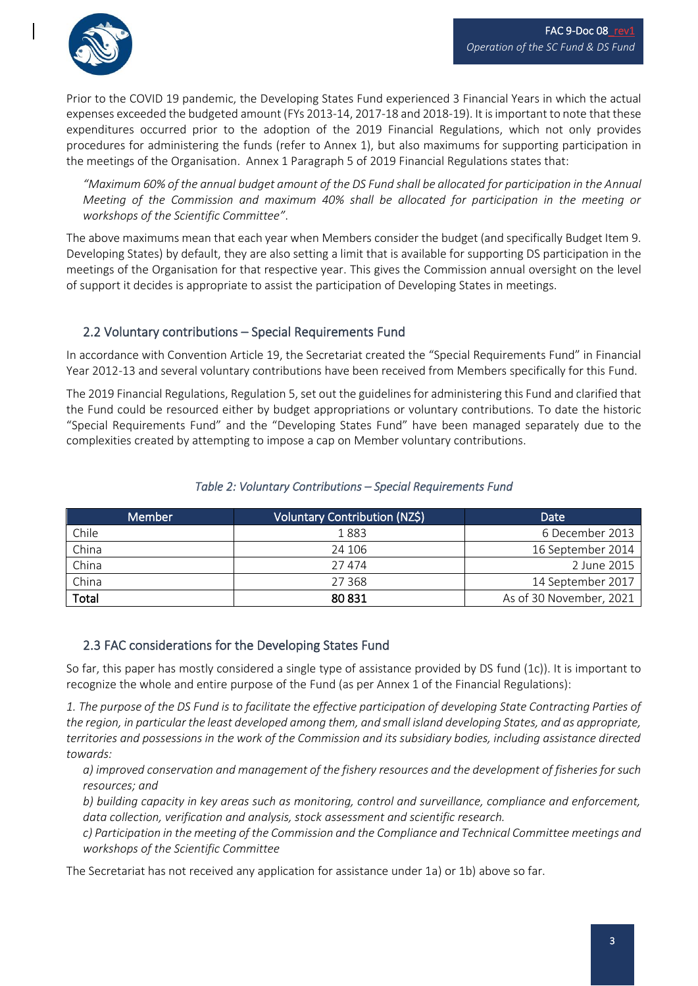

Prior to the COVID 19 pandemic, the Developing States Fund experienced 3 Financial Years in which the actual expenses exceeded the budgeted amount (FYs 2013-14, 2017-18 and 2018-19). It is important to note that these expenditures occurred prior to the adoption of the 2019 Financial Regulations, which not only provides procedures for administering the funds (refer to Annex 1), but also maximums for supporting participation in the meetings of the Organisation. Annex 1 Paragraph 5 of 2019 Financial Regulations states that:

*"Maximum 60% of the annual budget amount of the DS Fund shall be allocated for participation in the Annual Meeting of the Commission and maximum 40% shall be allocated for participation in the meeting or workshops of the Scientific Committee"*.

The above maximums mean that each year when Members consider the budget (and specifically Budget Item 9. Developing States) by default, they are also setting a limit that is available for supporting DS participation in the meetings of the Organisation for that respective year. This gives the Commission annual oversight on the level of support it decides is appropriate to assist the participation of Developing States in meetings.

## 2.2 Voluntary contributions – Special Requirements Fund

In accordance with Convention Article 19, the Secretariat created the "Special Requirements Fund" in Financial Year 2012-13 and several voluntary contributions have been received from Members specifically for this Fund.

The 2019 Financial Regulations, Regulation 5, set out the guidelines for administering this Fund and clarified that the Fund could be resourced either by budget appropriations or voluntary contributions. To date the historic "Special Requirements Fund" and the "Developing States Fund" have been managed separately due to the complexities created by attempting to impose a cap on Member voluntary contributions.

| Member | Voluntary Contribution (NZ\$) | <b>Date</b>             |
|--------|-------------------------------|-------------------------|
| Chile  | 1 883                         | 6 December 2013         |
| China  | 24 106                        | 16 September 2014       |
| China  | 27 474                        | 2 June 2015             |
| China  | 27 3 68                       | 14 September 2017       |
| Total  | 80 831                        | As of 30 November, 2021 |

#### *Table 2: Voluntary Contributions – Special Requirements Fund*

#### 2.3 FAC considerations for the Developing States Fund

So far, this paper has mostly considered a single type of assistance provided by DS fund (1c)). It is important to recognize the whole and entire purpose of the Fund (as per Annex 1 of the Financial Regulations):

*1. The purpose of the DS Fund is to facilitate the effective participation of developing State Contracting Parties of the region, in particular the least developed among them, and small island developing States, and as appropriate, territories and possessions in the work of the Commission and its subsidiary bodies, including assistance directed towards:* 

*a) improved conservation and management of the fishery resources and the development of fisheries for such resources; and* 

*b) building capacity in key areas such as monitoring, control and surveillance, compliance and enforcement, data collection, verification and analysis, stock assessment and scientific research.* 

*c) Participation in the meeting of the Commission and the Compliance and Technical Committee meetings and workshops of the Scientific Committee*

The Secretariat has not received any application for assistance under 1a) or 1b) above so far.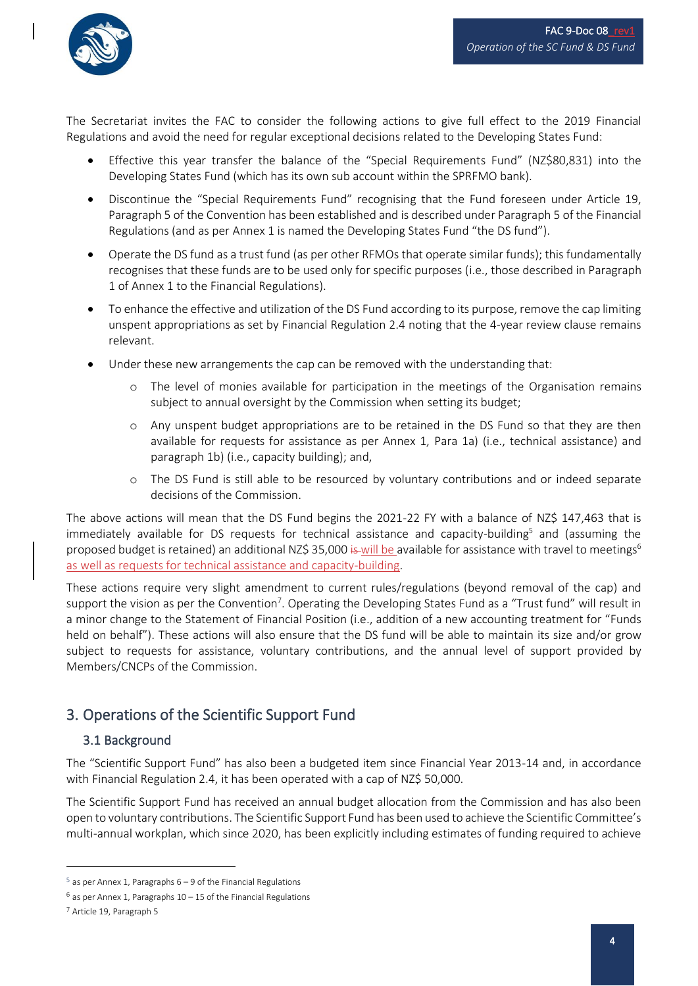

The Secretariat invites the FAC to consider the following actions to give full effect to the 2019 Financial Regulations and avoid the need for regular exceptional decisions related to the Developing States Fund:

- Effective this year transfer the balance of the "Special Requirements Fund" (NZ\$80,831) into the Developing States Fund (which has its own sub account within the SPRFMO bank).
- Discontinue the "Special Requirements Fund" recognising that the Fund foreseen under Article 19, Paragraph 5 of the Convention has been established and is described under Paragraph 5 of the Financial Regulations (and as per Annex 1 is named the Developing States Fund "the DS fund").
- Operate the DS fund as a trust fund (as per other RFMOs that operate similar funds); this fundamentally recognises that these funds are to be used only for specific purposes (i.e., those described in Paragraph 1 of Annex 1 to the Financial Regulations).
- To enhance the effective and utilization of the DS Fund according to its purpose, remove the cap limiting unspent appropriations as set by Financial Regulation 2.4 noting that the 4-year review clause remains relevant.
- Under these new arrangements the cap can be removed with the understanding that:
	- o The level of monies available for participation in the meetings of the Organisation remains subject to annual oversight by the Commission when setting its budget;
	- o Any unspent budget appropriations are to be retained in the DS Fund so that they are then available for requests for assistance as per Annex 1, Para 1a) (i.e., technical assistance) and paragraph 1b) (i.e., capacity building); and,
	- o The DS Fund is still able to be resourced by voluntary contributions and or indeed separate decisions of the Commission.

The above actions will mean that the DS Fund begins the 2021-22 FY with a balance of NZ\$ 147,463 that is immediately available for DS requests for technical assistance and capacity-building<sup>5</sup> and (assuming the proposed budget is retained) an additional NZ\$ 35,000 is will be available for assistance with travel to meetings<sup>6</sup> as well as requests for technical assistance and capacity-building.

These actions require very slight amendment to current rules/regulations (beyond removal of the cap) and support the vision as per the Convention<sup>7</sup>. Operating the Developing States Fund as a "Trust fund" will result in a minor change to the Statement of Financial Position (i.e., addition of a new accounting treatment for "Funds held on behalf"). These actions will also ensure that the DS fund will be able to maintain its size and/or grow subject to requests for assistance, voluntary contributions, and the annual level of support provided by Members/CNCPs of the Commission.

## 3. Operations of the Scientific Support Fund

## 3.1 Background

The "Scientific Support Fund" has also been a budgeted item since Financial Year 2013-14 and, in accordance with Financial Regulation 2.4, it has been operated with a cap of NZ\$ 50,000.

The Scientific Support Fund has received an annual budget allocation from the Commission and has also been open to voluntary contributions. The Scientific Support Fund has been used to achieve the Scientific Committee's multi-annual workplan, which since 2020, has been explicitly including estimates of funding required to achieve

 $5$  as per Annex 1, Paragraphs  $6 - 9$  of the Financial Regulations

 $6$  as per Annex 1, Paragraphs  $10 - 15$  of the Financial Regulations

<sup>7</sup> Article 19, Paragraph 5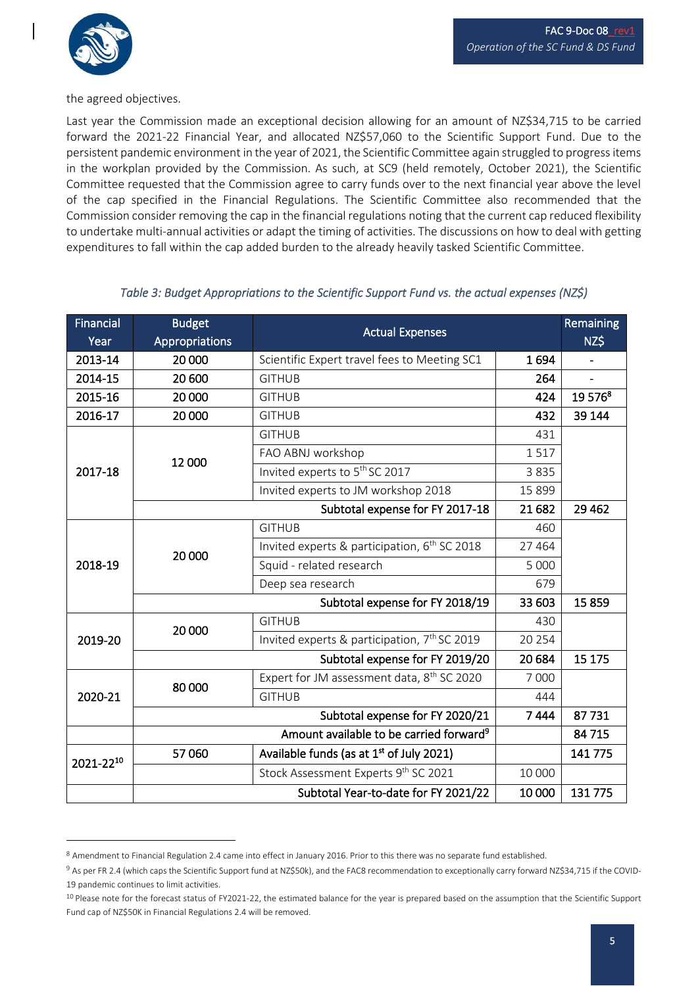

the agreed objectives.

Last year the Commission made an exceptional decision allowing for an amount of NZ\$34,715 to be carried forward the 2021-22 Financial Year, and allocated NZ\$57,060 to the Scientific Support Fund. Due to the persistent pandemic environment in the year of 2021, the Scientific Committee again struggled to progress items in the workplan provided by the Commission. As such, at SC9 (held remotely, October 2021), the Scientific Committee requested that the Commission agree to carry funds over to the next financial year above the level of the cap specified in the Financial Regulations. The Scientific Committee also recommended that the Commission consider removing the cap in the financial regulations noting that the current cap reduced flexibility to undertake multi-annual activities or adapt the timing of activities. The discussions on how to deal with getting expenditures to fall within the cap added burden to the already heavily tasked Scientific Committee.

| <b>Financial</b> | <b>Budget</b>                                       | <b>Actual Expenses</b>                                   |         | Remaining           |
|------------------|-----------------------------------------------------|----------------------------------------------------------|---------|---------------------|
| Year             | <b>Appropriations</b>                               |                                                          |         | NZ\$                |
| 2013-14          | 20 000                                              | Scientific Expert travel fees to Meeting SC1             | 1694    |                     |
| 2014-15          | 20 600                                              | <b>GITHUB</b>                                            | 264     |                     |
| 2015-16          | 20 000                                              | <b>GITHUB</b>                                            | 424     | 19 576 <sup>8</sup> |
| 2016-17          | 20 000                                              | <b>GITHUB</b>                                            | 432     | 39 144              |
|                  | 12 000                                              | <b>GITHUB</b>                                            | 431     |                     |
|                  |                                                     | FAO ABNJ workshop                                        | 1517    |                     |
| 2017-18          |                                                     | Invited experts to 5 <sup>th</sup> SC 2017               | 3835    |                     |
|                  |                                                     | Invited experts to JM workshop 2018                      | 15 8 99 |                     |
|                  | Subtotal expense for FY 2017-18                     |                                                          |         | 29 4 62             |
|                  | 20 000                                              | <b>GITHUB</b>                                            | 460     |                     |
|                  |                                                     | Invited experts & participation, 6 <sup>th</sup> SC 2018 | 27 4 64 |                     |
| 2018-19          |                                                     | Squid - related research                                 | 5 0 0 0 |                     |
|                  |                                                     | Deep sea research                                        | 679     |                     |
|                  | Subtotal expense for FY 2018/19                     |                                                          |         | 15859               |
|                  | 20 000                                              | <b>GITHUB</b>                                            | 430     |                     |
| 2019-20          |                                                     | Invited experts & participation, 7 <sup>th</sup> SC 2019 | 20 254  |                     |
|                  | Subtotal expense for FY 2019/20                     |                                                          |         | 15 175              |
|                  | 80 000                                              | Expert for JM assessment data, 8 <sup>th</sup> SC 2020   | 7 0 0 0 |                     |
| 2020-21          |                                                     | <b>GITHUB</b>                                            | 444     |                     |
|                  | Subtotal expense for FY 2020/21                     |                                                          |         | 87731               |
|                  | Amount available to be carried forward <sup>9</sup> |                                                          |         | 84 715              |
| 2021-2210        | 57060                                               | Available funds (as at 1 <sup>st</sup> of July 2021)     |         | 141775              |
|                  |                                                     | Stock Assessment Experts 9th SC 2021                     | 10 000  |                     |
|                  |                                                     | Subtotal Year-to-date for FY 2021/22                     | 10 000  | 131775              |

#### *Table 3: Budget Appropriations to the Scientific Support Fund vs. the actual expenses (NZ\$)*

<sup>8</sup> Amendment to Financial Regulation 2.4 came into effect in January 2016. Prior to this there was no separate fund established.

<sup>9</sup> As per FR 2.4 (which caps the Scientific Support fund at NZ\$50k), and the FAC8 recommendation to exceptionally carry forward NZ\$34,715 if the COVID-19 pandemic continues to limit activities.

<sup>&</sup>lt;sup>10</sup> Please note for the forecast status of FY2021-22, the estimated balance for the year is prepared based on the assumption that the Scientific Support Fund cap of NZ\$50K in Financial Regulations 2.4 will be removed.